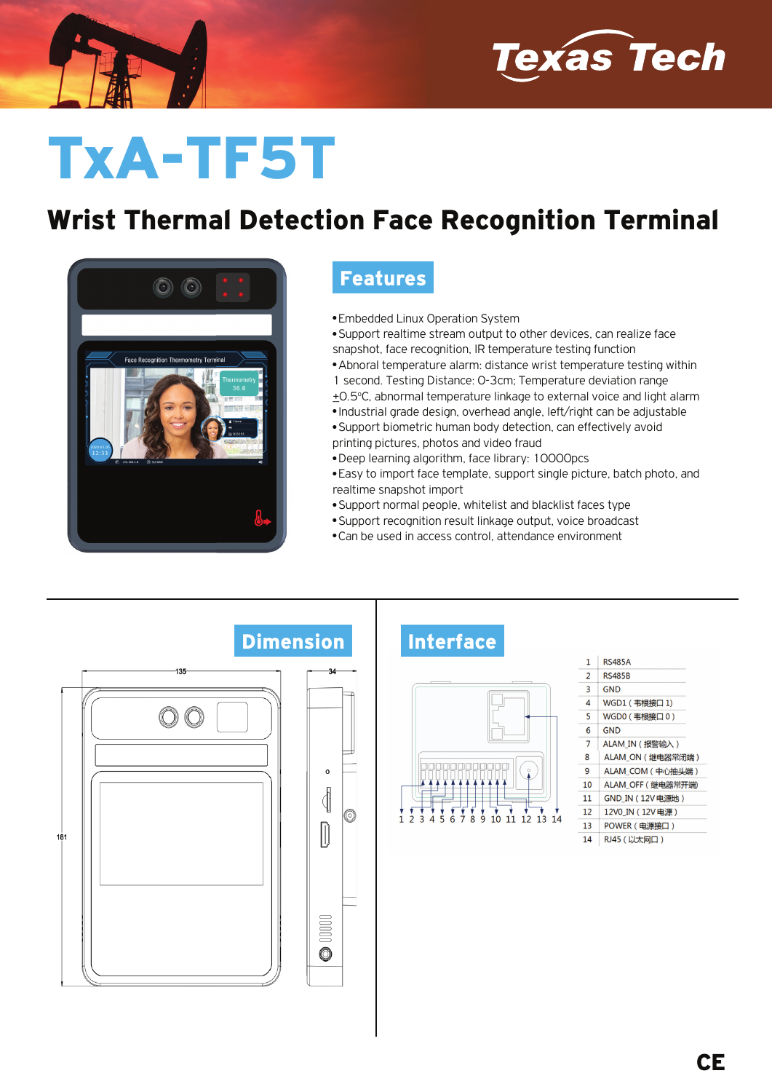



# TxA-TF5T

### Wrist Thermal Detection Face Recognition Terminal



#### Features

**• Embedded Linux Operation System** 

• Support realtime stream output to other devices, can realize face snapshot, face recognition, IR temperature testing function

- Abnoral temperature alarm: distance wrist temperature testing within 1 second. Testing Distance: 0-3cm; Temperature deviation range +0.5°C, abnormal temperature linkage to external voice and light alarm
- Industrial grade design, overhead angle, left/right can be adjustable
- Support biometric human body detection, can effectively avoid printing pictures, photos and video fraud
- Deep learning algorithm, face library: 10000pcs
- Easy to import face template, support single picture, batch photo, and realtime snapshot import
- Support normal people, whitelist and blacklist faces type
- Support recognition result linkage output, voice broadcast
- Can be used in access control, attendance environment

## $-135$  $\bigcirc$ ₫  $\Box$  $181$  $00000$ O

#### Dimension Interface



| 1              | <b>RS485A</b>     |
|----------------|-------------------|
| $\overline{2}$ | <b>RS485B</b>     |
| 3              | <b>GND</b>        |
| 4              | WGD1 (韦根接口 1)     |
| 5              | WGD0 (韦根接口0)      |
| 6              | <b>GND</b>        |
| 7              | ALAM IN (报警输入)    |
| 8              | ALAM ON (继电器常闭端)  |
| q              | ALAM COM (中心抽头端)  |
| 10             | ALAM_OFF (继电器常开端) |
| 11             | GND IN (12V电源地)   |
| 12             | 12V0 IN (12V电源)   |
| 13             | POWER (电源接口)      |
| 14             | RJ45 (以太网口)       |